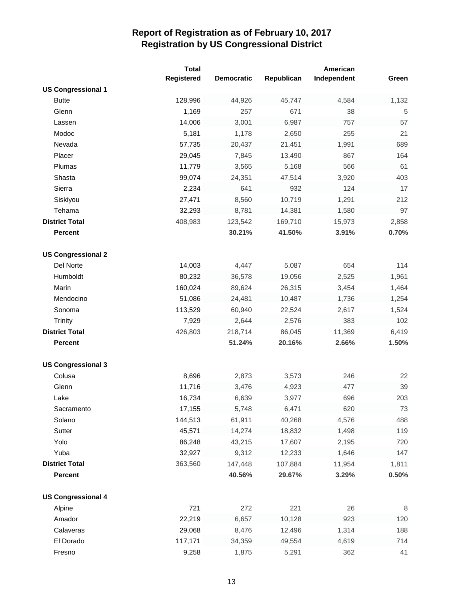|                           | <b>Total</b>      |                   |            | American    |       |
|---------------------------|-------------------|-------------------|------------|-------------|-------|
|                           | <b>Registered</b> | <b>Democratic</b> | Republican | Independent | Green |
| <b>US Congressional 1</b> |                   |                   |            |             |       |
| <b>Butte</b>              | 128,996           | 44,926            | 45,747     | 4,584       | 1,132 |
| Glenn                     | 1,169             | 257               | 671        | 38          | 5     |
| Lassen                    | 14,006            | 3,001             | 6,987      | 757         | 57    |
| Modoc                     | 5,181             | 1,178             | 2,650      | 255         | 21    |
| Nevada                    | 57,735            | 20,437            | 21,451     | 1,991       | 689   |
| Placer                    | 29,045            | 7,845             | 13,490     | 867         | 164   |
| Plumas                    | 11,779            | 3,565             | 5,168      | 566         | 61    |
| Shasta                    | 99,074            | 24,351            | 47,514     | 3,920       | 403   |
| Sierra                    | 2,234             | 641               | 932        | 124         | 17    |
| Siskiyou                  | 27,471            | 8,560             | 10,719     | 1,291       | 212   |
| Tehama                    | 32,293            | 8,781             | 14,381     | 1,580       | 97    |
| <b>District Total</b>     | 408,983           | 123,542           | 169,710    | 15,973      | 2,858 |
| <b>Percent</b>            |                   | 30.21%            | 41.50%     | 3.91%       | 0.70% |
|                           |                   |                   |            |             |       |
| <b>US Congressional 2</b> |                   |                   |            |             |       |
| Del Norte                 | 14,003            | 4,447             | 5,087      | 654         | 114   |
| Humboldt                  | 80,232            | 36,578            | 19,056     | 2,525       | 1,961 |
| Marin                     | 160,024           | 89,624            | 26,315     | 3,454       | 1,464 |
| Mendocino                 | 51,086            | 24,481            | 10,487     | 1,736       | 1,254 |
| Sonoma                    | 113,529           | 60,940            | 22,524     | 2,617       | 1,524 |
| Trinity                   | 7,929             | 2,644             | 2,576      | 383         | 102   |
| <b>District Total</b>     | 426,803           | 218,714           | 86,045     | 11,369      | 6,419 |
| <b>Percent</b>            |                   | 51.24%            | 20.16%     | 2.66%       | 1.50% |
|                           |                   |                   |            |             |       |
| <b>US Congressional 3</b> |                   |                   |            |             |       |
| Colusa                    | 8,696             | 2,873             | 3,573      | 246         | 22    |
| Glenn                     | 11,716            | 3,476             | 4,923      | 477         | 39    |
| Lake                      | 16,734            | 6,639             | 3,977      | 696         | 203   |
| Sacramento                | 17,155            | 5,748             | 6,471      | 620         | 73    |
| Solano                    | 144,513           | 61,911            | 40,268     | 4,576       | 488   |
| Sutter                    | 45,571            | 14,274            | 18,832     | 1,498       | 119   |
| Yolo                      | 86,248            | 43,215            | 17,607     | 2,195       | 720   |
| Yuba                      | 32,927            | 9,312             | 12,233     | 1,646       | 147   |
| <b>District Total</b>     | 363,560           | 147,448           | 107,884    | 11,954      | 1,811 |
| <b>Percent</b>            |                   | 40.56%            | 29.67%     | 3.29%       | 0.50% |
|                           |                   |                   |            |             |       |
| <b>US Congressional 4</b> |                   |                   |            |             |       |
| Alpine                    | 721               | 272               | 221        | 26          | 8     |
| Amador                    | 22,219            | 6,657             | 10,128     | 923         | 120   |
| Calaveras                 | 29,068            | 8,476             | 12,496     | 1,314       | 188   |
| El Dorado                 | 117,171           | 34,359            | 49,554     | 4,619       | 714   |
| Fresno                    | 9,258             | 1,875             | 5,291      | 362         | 41    |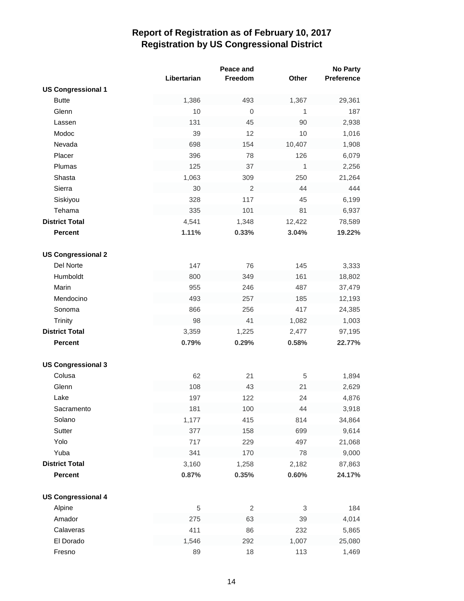|                           |             | Peace and      |        | No Party   |
|---------------------------|-------------|----------------|--------|------------|
|                           | Libertarian | Freedom        | Other  | Preference |
| <b>US Congressional 1</b> |             |                |        |            |
| <b>Butte</b>              | 1,386       | 493            | 1,367  | 29,361     |
| Glenn                     | 10          | $\mathbf{0}$   | 1      | 187        |
| Lassen                    | 131         | 45             | 90     | 2,938      |
| Modoc                     | 39          | 12             | 10     | 1,016      |
| Nevada                    | 698         | 154            | 10,407 | 1,908      |
| Placer                    | 396         | 78             | 126    | 6,079      |
| Plumas                    | 125         | 37             | 1      | 2,256      |
| Shasta                    | 1,063       | 309            | 250    | 21,264     |
| Sierra                    | 30          | $\overline{2}$ | 44     | 444        |
| Siskiyou                  | 328         | 117            | 45     | 6,199      |
| Tehama                    | 335         | 101            | 81     | 6,937      |
| <b>District Total</b>     | 4,541       | 1,348          | 12,422 | 78,589     |
| <b>Percent</b>            | 1.11%       | 0.33%          | 3.04%  | 19.22%     |
|                           |             |                |        |            |
| <b>US Congressional 2</b> |             |                |        |            |
| Del Norte                 | 147         | 76             | 145    | 3,333      |
| Humboldt                  | 800         | 349            | 161    | 18,802     |
| Marin                     | 955         | 246            | 487    | 37,479     |
| Mendocino                 | 493         | 257            | 185    | 12,193     |
| Sonoma                    | 866         | 256            | 417    | 24,385     |
| <b>Trinity</b>            | 98          | 41             | 1,082  | 1,003      |
| <b>District Total</b>     | 3,359       | 1,225          | 2,477  | 97,195     |
| <b>Percent</b>            | 0.79%       | 0.29%          | 0.58%  | 22.77%     |
|                           |             |                |        |            |
| <b>US Congressional 3</b> |             |                |        |            |
| Colusa                    | 62          | 21             | 5      | 1,894      |
| Glenn                     | 108         | 43             | 21     | 2,629      |
| Lake                      | 197         | 122            | 24     | 4,876      |
| Sacramento                | 181         | 100            | 44     | 3,918      |
| Solano                    | 1,177       | 415            | 814    | 34,864     |
| Sutter                    | 377         | 158            | 699    | 9,614      |
| Yolo                      | 717         | 229            | 497    | 21,068     |
| Yuba                      | 341         | 170            | 78     | 9,000      |
| <b>District Total</b>     | 3,160       | 1,258          | 2,182  | 87,863     |
| <b>Percent</b>            | 0.87%       | 0.35%          | 0.60%  | 24.17%     |
|                           |             |                |        |            |
| <b>US Congressional 4</b> |             |                |        |            |
| Alpine                    | 5           | $\overline{c}$ | 3      | 184        |
| Amador                    | 275         | 63             | 39     | 4,014      |
| Calaveras                 | 411         | 86             | 232    | 5,865      |
| El Dorado                 | 1,546       | 292            | 1,007  | 25,080     |
| Fresno                    | 89          | 18             | 113    | 1,469      |
|                           |             |                |        |            |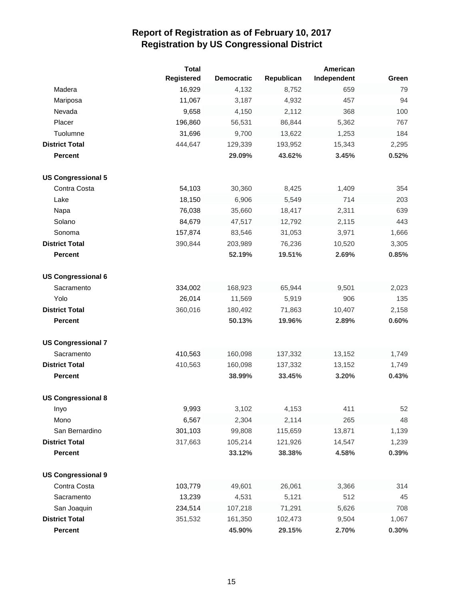|                           | <b>Total</b> |                   |            | American    |       |
|---------------------------|--------------|-------------------|------------|-------------|-------|
|                           | Registered   | <b>Democratic</b> | Republican | Independent | Green |
| Madera                    | 16,929       | 4,132             | 8,752      | 659         | 79    |
| Mariposa                  | 11,067       | 3,187             | 4,932      | 457         | 94    |
| Nevada                    | 9,658        | 4,150             | 2,112      | 368         | 100   |
| Placer                    | 196,860      | 56,531            | 86,844     | 5,362       | 767   |
| Tuolumne                  | 31,696       | 9,700             | 13,622     | 1,253       | 184   |
| <b>District Total</b>     | 444,647      | 129,339           | 193,952    | 15,343      | 2,295 |
| <b>Percent</b>            |              | 29.09%            | 43.62%     | 3.45%       | 0.52% |
| <b>US Congressional 5</b> |              |                   |            |             |       |
| Contra Costa              | 54,103       | 30,360            | 8,425      | 1,409       | 354   |
| Lake                      | 18,150       | 6,906             | 5,549      | 714         | 203   |
| Napa                      | 76,038       | 35,660            | 18,417     | 2,311       | 639   |
| Solano                    | 84,679       | 47,517            | 12,792     | 2,115       | 443   |
| Sonoma                    | 157,874      | 83,546            | 31,053     | 3,971       | 1,666 |
| <b>District Total</b>     | 390,844      | 203,989           | 76,236     | 10,520      | 3,305 |
| <b>Percent</b>            |              | 52.19%            | 19.51%     | 2.69%       | 0.85% |
| <b>US Congressional 6</b> |              |                   |            |             |       |
| Sacramento                | 334,002      | 168,923           | 65,944     | 9,501       | 2,023 |
| Yolo                      | 26,014       | 11,569            | 5,919      | 906         | 135   |
| <b>District Total</b>     | 360,016      | 180,492           | 71,863     | 10,407      | 2,158 |
| <b>Percent</b>            |              | 50.13%            | 19.96%     | 2.89%       | 0.60% |
| <b>US Congressional 7</b> |              |                   |            |             |       |
| Sacramento                | 410,563      | 160,098           | 137,332    | 13,152      | 1,749 |
| <b>District Total</b>     | 410,563      | 160,098           | 137,332    | 13,152      | 1,749 |
| <b>Percent</b>            |              | 38.99%            | 33.45%     | 3.20%       | 0.43% |
| <b>US Congressional 8</b> |              |                   |            |             |       |
| Inyo                      | 9,993        | 3,102             | 4,153      | 411         | 52    |
| Mono                      | 6,567        | 2,304             | 2,114      | 265         | 48    |
| San Bernardino            | 301,103      | 99,808            | 115,659    | 13,871      | 1,139 |
| <b>District Total</b>     | 317,663      | 105,214           | 121,926    | 14,547      | 1,239 |
| <b>Percent</b>            |              | 33.12%            | 38.38%     | 4.58%       | 0.39% |
| <b>US Congressional 9</b> |              |                   |            |             |       |
| Contra Costa              | 103,779      | 49,601            | 26,061     | 3,366       | 314   |
| Sacramento                | 13,239       | 4,531             | 5,121      | 512         | 45    |
| San Joaquin               | 234,514      | 107,218           | 71,291     | 5,626       | 708   |
| <b>District Total</b>     | 351,532      | 161,350           | 102,473    | 9,504       | 1,067 |
| Percent                   |              | 45.90%            | 29.15%     | 2.70%       | 0.30% |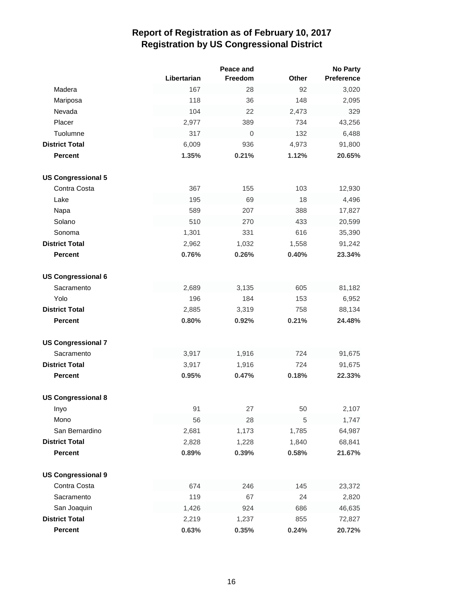|                           |             | Peace and        |       | <b>No Party</b> |
|---------------------------|-------------|------------------|-------|-----------------|
|                           | Libertarian | Freedom          | Other | Preference      |
| Madera                    | 167         | 28               | 92    | 3,020           |
| Mariposa                  | 118         | 36               | 148   | 2,095           |
| Nevada                    | 104         | 22               | 2,473 | 329             |
| Placer                    | 2,977       | 389              | 734   | 43,256          |
| Tuolumne                  | 317         | $\boldsymbol{0}$ | 132   | 6,488           |
| <b>District Total</b>     | 6,009       | 936              | 4,973 | 91,800          |
| <b>Percent</b>            | 1.35%       | 0.21%            | 1.12% | 20.65%          |
| <b>US Congressional 5</b> |             |                  |       |                 |
| Contra Costa              | 367         | 155              | 103   | 12,930          |
| Lake                      | 195         | 69               | 18    | 4,496           |
| Napa                      | 589         | 207              | 388   | 17,827          |
| Solano                    | 510         | 270              | 433   | 20,599          |
| Sonoma                    | 1,301       | 331              | 616   | 35,390          |
| <b>District Total</b>     | 2,962       | 1,032            | 1,558 | 91,242          |
| <b>Percent</b>            | 0.76%       | 0.26%            | 0.40% | 23.34%          |
| <b>US Congressional 6</b> |             |                  |       |                 |
| Sacramento                | 2,689       | 3,135            | 605   | 81,182          |
| Yolo                      | 196         | 184              | 153   | 6,952           |
| <b>District Total</b>     | 2,885       | 3,319            | 758   | 88,134          |
| <b>Percent</b>            | 0.80%       | 0.92%            | 0.21% | 24.48%          |
| <b>US Congressional 7</b> |             |                  |       |                 |
| Sacramento                | 3,917       | 1,916            | 724   | 91,675          |
| <b>District Total</b>     | 3,917       | 1,916            | 724   | 91,675          |
| <b>Percent</b>            | 0.95%       | 0.47%            | 0.18% | 22.33%          |
| <b>US Congressional 8</b> |             |                  |       |                 |
| Inyo                      | 91          | 27               | 50    | 2,107           |
| Mono                      | 56          | 28               | 5     | 1,747           |
| San Bernardino            | 2,681       | 1,173            | 1,785 | 64,987          |
| <b>District Total</b>     | 2,828       | 1,228            | 1,840 | 68,841          |
| <b>Percent</b>            | 0.89%       | 0.39%            | 0.58% | 21.67%          |
| <b>US Congressional 9</b> |             |                  |       |                 |
| Contra Costa              | 674         | 246              | 145   | 23,372          |
| Sacramento                | 119         | 67               | 24    | 2,820           |
| San Joaquin               | 1,426       | 924              | 686   | 46,635          |
| <b>District Total</b>     | 2,219       | 1,237            | 855   | 72,827          |
| <b>Percent</b>            | 0.63%       | 0.35%            | 0.24% | 20.72%          |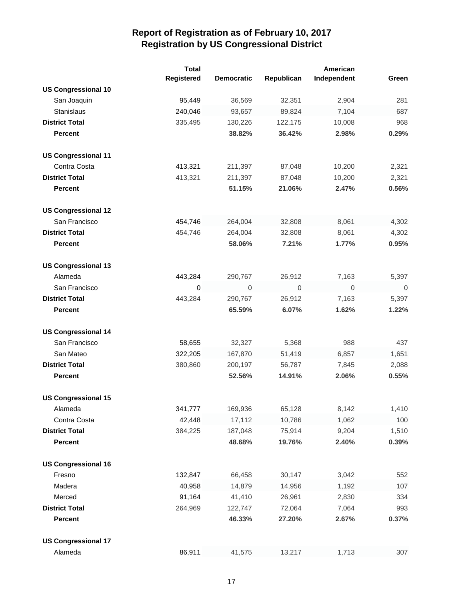|                            | <b>Total</b> |                   |             | American    |             |
|----------------------------|--------------|-------------------|-------------|-------------|-------------|
|                            | Registered   | <b>Democratic</b> | Republican  | Independent | Green       |
| <b>US Congressional 10</b> |              |                   |             |             |             |
| San Joaquin                | 95,449       | 36,569            | 32,351      | 2,904       | 281         |
| Stanislaus                 | 240,046      | 93,657            | 89,824      | 7,104       | 687         |
| <b>District Total</b>      | 335,495      | 130,226           | 122,175     | 10,008      | 968         |
| <b>Percent</b>             |              | 38.82%            | 36.42%      | 2.98%       | 0.29%       |
| <b>US Congressional 11</b> |              |                   |             |             |             |
| Contra Costa               | 413,321      | 211,397           | 87,048      | 10,200      | 2,321       |
| <b>District Total</b>      | 413,321      | 211,397           | 87,048      | 10,200      | 2,321       |
| <b>Percent</b>             |              | 51.15%            | 21.06%      | 2.47%       | 0.56%       |
| <b>US Congressional 12</b> |              |                   |             |             |             |
| San Francisco              | 454,746      | 264,004           | 32,808      | 8,061       | 4,302       |
| <b>District Total</b>      | 454,746      | 264,004           | 32,808      | 8,061       | 4,302       |
| <b>Percent</b>             |              | 58.06%            | 7.21%       | 1.77%       | 0.95%       |
| <b>US Congressional 13</b> |              |                   |             |             |             |
| Alameda                    | 443,284      | 290,767           | 26,912      | 7,163       | 5,397       |
| San Francisco              | $\mathbf 0$  | $\mathbf 0$       | $\mathbf 0$ | $\mathbf 0$ | $\mathbf 0$ |
| <b>District Total</b>      | 443,284      | 290,767           | 26,912      | 7,163       | 5,397       |
| <b>Percent</b>             |              | 65.59%            | 6.07%       | 1.62%       | 1.22%       |
|                            |              |                   |             |             |             |
| <b>US Congressional 14</b> |              |                   |             |             |             |
| San Francisco              | 58,655       | 32,327            | 5,368       | 988         | 437         |
| San Mateo                  | 322,205      | 167,870           | 51,419      | 6,857       | 1,651       |
| <b>District Total</b>      | 380,860      | 200,197           | 56,787      | 7,845       | 2,088       |
| <b>Percent</b>             |              | 52.56%            | 14.91%      | 2.06%       | 0.55%       |
| <b>US Congressional 15</b> |              |                   |             |             |             |
| Alameda                    | 341,777      | 169,936           | 65,128      | 8,142       | 1,410       |
| Contra Costa               | 42,448       | 17,112            | 10,786      | 1,062       | 100         |
| <b>District Total</b>      | 384,225      | 187,048           | 75,914      | 9,204       | 1,510       |
| <b>Percent</b>             |              | 48.68%            | 19.76%      | 2.40%       | 0.39%       |
| <b>US Congressional 16</b> |              |                   |             |             |             |
| Fresno                     | 132,847      | 66,458            | 30,147      | 3,042       | 552         |
| Madera                     | 40,958       | 14,879            | 14,956      | 1,192       | 107         |
| Merced                     | 91,164       | 41,410            | 26,961      | 2,830       | 334         |
| <b>District Total</b>      | 264,969      | 122,747           | 72,064      | 7,064       | 993         |
| <b>Percent</b>             |              | 46.33%            | 27.20%      | 2.67%       | 0.37%       |
| <b>US Congressional 17</b> |              |                   |             |             |             |
| Alameda                    | 86,911       | 41,575            | 13,217      | 1,713       | 307         |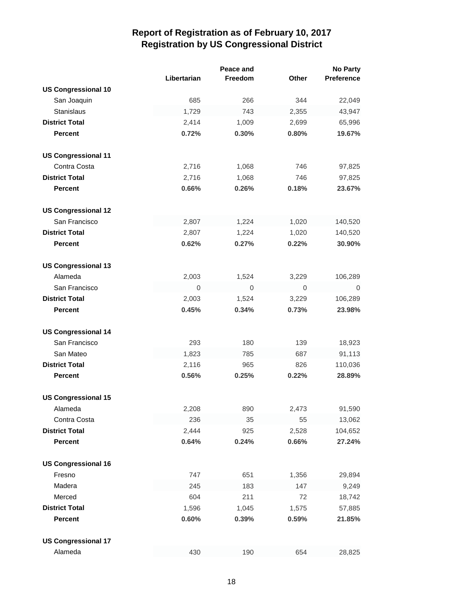|                            |                  | Peace and    |                  | <b>No Party</b>   |
|----------------------------|------------------|--------------|------------------|-------------------|
|                            | Libertarian      | Freedom      | Other            | <b>Preference</b> |
| <b>US Congressional 10</b> |                  |              |                  |                   |
| San Joaquin                | 685              | 266          | 344              | 22,049            |
| <b>Stanislaus</b>          | 1,729            | 743          | 2,355            | 43,947            |
| <b>District Total</b>      | 2,414            | 1,009        | 2,699            | 65,996            |
| <b>Percent</b>             | 0.72%            | 0.30%        | 0.80%            | 19.67%            |
| <b>US Congressional 11</b> |                  |              |                  |                   |
| Contra Costa               | 2,716            | 1,068        | 746              | 97,825            |
| <b>District Total</b>      | 2,716            | 1,068        | 746              | 97,825            |
| <b>Percent</b>             | 0.66%            | 0.26%        | 0.18%            | 23.67%            |
| <b>US Congressional 12</b> |                  |              |                  |                   |
| San Francisco              | 2,807            | 1,224        | 1,020            | 140,520           |
| <b>District Total</b>      | 2,807            | 1,224        | 1,020            | 140,520           |
| <b>Percent</b>             | 0.62%            | 0.27%        | 0.22%            | 30.90%            |
| <b>US Congressional 13</b> |                  |              |                  |                   |
| Alameda                    | 2,003            | 1,524        | 3,229            | 106,289           |
| San Francisco              | $\boldsymbol{0}$ | $\mathbf{0}$ | $\boldsymbol{0}$ | 0                 |
| <b>District Total</b>      | 2,003            | 1,524        | 3,229            | 106,289           |
| <b>Percent</b>             | 0.45%            | 0.34%        | 0.73%            | 23.98%            |
| <b>US Congressional 14</b> |                  |              |                  |                   |
| San Francisco              | 293              | 180          | 139              | 18,923            |
| San Mateo                  | 1,823            | 785          | 687              | 91,113            |
| <b>District Total</b>      | 2,116            | 965          | 826              | 110,036           |
| <b>Percent</b>             | 0.56%            | 0.25%        | 0.22%            | 28.89%            |
| <b>US Congressional 15</b> |                  |              |                  |                   |
| Alameda                    | 2,208            | 890          | 2,473            | 91,590            |
| Contra Costa               | 236              | 35           | 55               | 13,062            |
| <b>District Total</b>      | 2,444            | 925          | 2,528            | 104,652           |
| <b>Percent</b>             | 0.64%            | 0.24%        | 0.66%            | 27.24%            |
| <b>US Congressional 16</b> |                  |              |                  |                   |
| Fresno                     | 747              | 651          | 1,356            | 29,894            |
| Madera                     | 245              | 183          | 147              | 9,249             |
| Merced                     | 604              | 211          | 72               | 18,742            |
| <b>District Total</b>      | 1,596            | 1,045        | 1,575            | 57,885            |
| <b>Percent</b>             | 0.60%            | 0.39%        | 0.59%            | 21.85%            |
| <b>US Congressional 17</b> |                  |              |                  |                   |
| Alameda                    | 430              | 190          | 654              | 28,825            |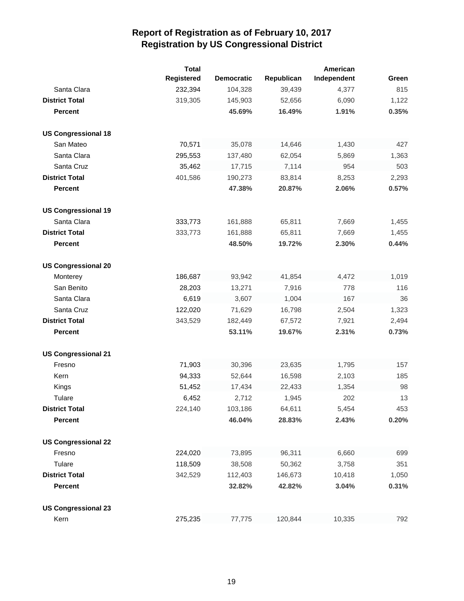|                            | <b>Total</b> |                   |            | American    |       |
|----------------------------|--------------|-------------------|------------|-------------|-------|
|                            | Registered   | <b>Democratic</b> | Republican | Independent | Green |
| Santa Clara                | 232,394      | 104,328           | 39,439     | 4,377       | 815   |
| <b>District Total</b>      | 319,305      | 145,903           | 52,656     | 6,090       | 1,122 |
| <b>Percent</b>             |              | 45.69%            | 16.49%     | 1.91%       | 0.35% |
| <b>US Congressional 18</b> |              |                   |            |             |       |
| San Mateo                  | 70,571       | 35,078            | 14,646     | 1,430       | 427   |
| Santa Clara                | 295,553      | 137,480           | 62,054     | 5,869       | 1,363 |
| Santa Cruz                 | 35,462       | 17,715            | 7,114      | 954         | 503   |
| <b>District Total</b>      | 401,586      | 190,273           | 83,814     | 8,253       | 2,293 |
| <b>Percent</b>             |              | 47.38%            | 20.87%     | 2.06%       | 0.57% |
| <b>US Congressional 19</b> |              |                   |            |             |       |
| Santa Clara                | 333,773      | 161,888           | 65,811     | 7,669       | 1,455 |
| <b>District Total</b>      | 333,773      | 161,888           | 65,811     | 7,669       | 1,455 |
| <b>Percent</b>             |              | 48.50%            | 19.72%     | 2.30%       | 0.44% |
| <b>US Congressional 20</b> |              |                   |            |             |       |
| Monterey                   | 186,687      | 93,942            | 41,854     | 4,472       | 1,019 |
| San Benito                 | 28,203       | 13,271            | 7,916      | 778         | 116   |
| Santa Clara                | 6,619        | 3,607             | 1,004      | 167         | 36    |
| Santa Cruz                 | 122,020      | 71,629            | 16,798     | 2,504       | 1,323 |
| <b>District Total</b>      | 343,529      | 182,449           | 67,572     | 7,921       | 2,494 |
| <b>Percent</b>             |              | 53.11%            | 19.67%     | 2.31%       | 0.73% |
| <b>US Congressional 21</b> |              |                   |            |             |       |
| Fresno                     | 71,903       | 30,396            | 23,635     | 1,795       | 157   |
| Kern                       | 94,333       | 52,644            | 16,598     | 2,103       | 185   |
| Kings                      | 51,452       | 17,434            | 22,433     | 1,354       | 98    |
| Tulare                     | 6,452        | 2,712             | 1,945      | 202         | 13    |
| <b>District Total</b>      | 224,140      | 103,186           | 64,611     | 5,454       | 453   |
| <b>Percent</b>             |              | 46.04%            | 28.83%     | 2.43%       | 0.20% |
| <b>US Congressional 22</b> |              |                   |            |             |       |
| Fresno                     | 224,020      | 73,895            | 96,311     | 6,660       | 699   |
| Tulare                     | 118,509      | 38,508            | 50,362     | 3,758       | 351   |
| <b>District Total</b>      | 342,529      | 112,403           | 146,673    | 10,418      | 1,050 |
| <b>Percent</b>             |              | 32.82%            | 42.82%     | 3.04%       | 0.31% |
| <b>US Congressional 23</b> |              |                   |            |             |       |
| Kern                       | 275,235      | 77,775            | 120,844    | 10,335      | 792   |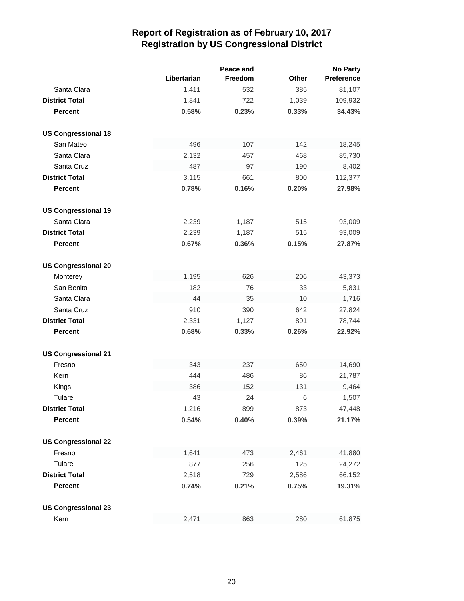|                            |             | Peace and |              | <b>No Party</b>   |
|----------------------------|-------------|-----------|--------------|-------------------|
|                            | Libertarian | Freedom   | <b>Other</b> | <b>Preference</b> |
| Santa Clara                | 1,411       | 532       | 385          | 81,107            |
| <b>District Total</b>      | 1,841       | 722       | 1,039        | 109,932           |
| <b>Percent</b>             | 0.58%       | 0.23%     | 0.33%        | 34.43%            |
| <b>US Congressional 18</b> |             |           |              |                   |
| San Mateo                  | 496         | 107       | 142          | 18,245            |
| Santa Clara                | 2,132       | 457       | 468          | 85,730            |
| Santa Cruz                 | 487         | 97        | 190          | 8,402             |
| <b>District Total</b>      | 3,115       | 661       | 800          | 112,377           |
| <b>Percent</b>             | 0.78%       | 0.16%     | 0.20%        | 27.98%            |
| <b>US Congressional 19</b> |             |           |              |                   |
| Santa Clara                | 2,239       | 1,187     | 515          | 93,009            |
| <b>District Total</b>      | 2,239       | 1,187     | 515          | 93,009            |
| <b>Percent</b>             | 0.67%       | 0.36%     | 0.15%        | 27.87%            |
| <b>US Congressional 20</b> |             |           |              |                   |
| Monterey                   | 1,195       | 626       | 206          | 43,373            |
| San Benito                 | 182         | 76        | 33           | 5,831             |
| Santa Clara                | 44          | 35        | 10           | 1,716             |
| Santa Cruz                 | 910         | 390       | 642          | 27,824            |
| <b>District Total</b>      | 2,331       | 1,127     | 891          | 78,744            |
| <b>Percent</b>             | 0.68%       | 0.33%     | 0.26%        | 22.92%            |
| <b>US Congressional 21</b> |             |           |              |                   |
| Fresno                     | 343         | 237       | 650          | 14,690            |
| Kern                       | 444         | 486       | 86           | 21,787            |
| Kings                      | 386         | 152       | 131          | 9,464             |
| Tulare                     | 43          | 24        | 6            | 1,507             |
| <b>District Total</b>      | 1,216       | 899       | 873          | 47,448            |
| <b>Percent</b>             | 0.54%       | 0.40%     | 0.39%        | 21.17%            |
| <b>US Congressional 22</b> |             |           |              |                   |
| Fresno                     | 1,641       | 473       | 2,461        | 41,880            |
| Tulare                     | 877         | 256       | 125          | 24,272            |
| <b>District Total</b>      | 2,518       | 729       | 2,586        | 66,152            |
| <b>Percent</b>             | 0.74%       | 0.21%     | 0.75%        | 19.31%            |
| <b>US Congressional 23</b> |             |           |              |                   |
| Kern                       | 2,471       | 863       | 280          | 61,875            |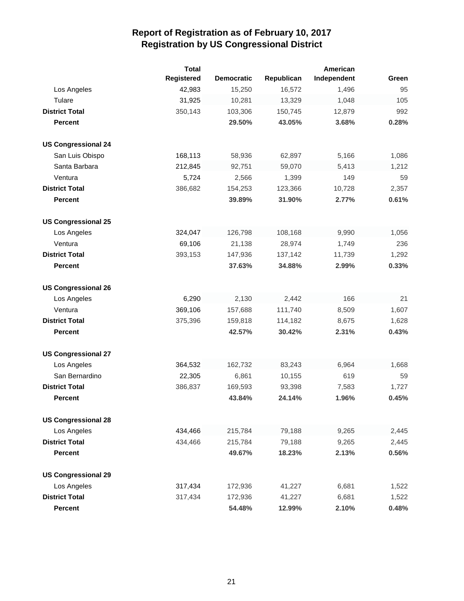|                            | <b>Total</b>      |                   |            | American    |       |
|----------------------------|-------------------|-------------------|------------|-------------|-------|
|                            | <b>Registered</b> | <b>Democratic</b> | Republican | Independent | Green |
| Los Angeles                | 42,983            | 15,250            | 16,572     | 1,496       | 95    |
| Tulare                     | 31,925            | 10,281            | 13,329     | 1,048       | 105   |
| <b>District Total</b>      | 350,143           | 103,306           | 150,745    | 12,879      | 992   |
| <b>Percent</b>             |                   | 29.50%            | 43.05%     | 3.68%       | 0.28% |
| <b>US Congressional 24</b> |                   |                   |            |             |       |
| San Luis Obispo            | 168,113           | 58,936            | 62,897     | 5,166       | 1,086 |
| Santa Barbara              | 212,845           | 92,751            | 59,070     | 5,413       | 1,212 |
| Ventura                    | 5,724             | 2,566             | 1,399      | 149         | 59    |
| <b>District Total</b>      | 386,682           | 154,253           | 123,366    | 10,728      | 2,357 |
| <b>Percent</b>             |                   | 39.89%            | 31.90%     | 2.77%       | 0.61% |
| <b>US Congressional 25</b> |                   |                   |            |             |       |
| Los Angeles                | 324,047           | 126,798           | 108,168    | 9,990       | 1,056 |
| Ventura                    | 69,106            | 21,138            | 28,974     | 1,749       | 236   |
| <b>District Total</b>      | 393,153           | 147,936           | 137,142    | 11,739      | 1,292 |
| <b>Percent</b>             |                   | 37.63%            | 34.88%     | 2.99%       | 0.33% |
| <b>US Congressional 26</b> |                   |                   |            |             |       |
| Los Angeles                | 6,290             | 2,130             | 2,442      | 166         | 21    |
| Ventura                    | 369,106           | 157,688           | 111,740    | 8,509       | 1,607 |
| <b>District Total</b>      | 375,396           | 159,818           | 114,182    | 8,675       | 1,628 |
| <b>Percent</b>             |                   | 42.57%            | 30.42%     | 2.31%       | 0.43% |
| <b>US Congressional 27</b> |                   |                   |            |             |       |
| Los Angeles                | 364,532           | 162,732           | 83,243     | 6,964       | 1,668 |
| San Bernardino             | 22,305            | 6,861             | 10,155     | 619         | 59    |
| <b>District Total</b>      | 386,837           | 169,593           | 93,398     | 7,583       | 1,727 |
| <b>Percent</b>             |                   | 43.84%            | 24.14%     | 1.96%       | 0.45% |
| <b>US Congressional 28</b> |                   |                   |            |             |       |
| Los Angeles                | 434,466           | 215,784           | 79,188     | 9,265       | 2,445 |
| <b>District Total</b>      | 434,466           | 215,784           | 79,188     | 9,265       | 2,445 |
| <b>Percent</b>             |                   | 49.67%            | 18.23%     | 2.13%       | 0.56% |
| <b>US Congressional 29</b> |                   |                   |            |             |       |
| Los Angeles                | 317,434           | 172,936           | 41,227     | 6,681       | 1,522 |
| <b>District Total</b>      | 317,434           | 172,936           | 41,227     | 6,681       | 1,522 |
| <b>Percent</b>             |                   | 54.48%            | 12.99%     | 2.10%       | 0.48% |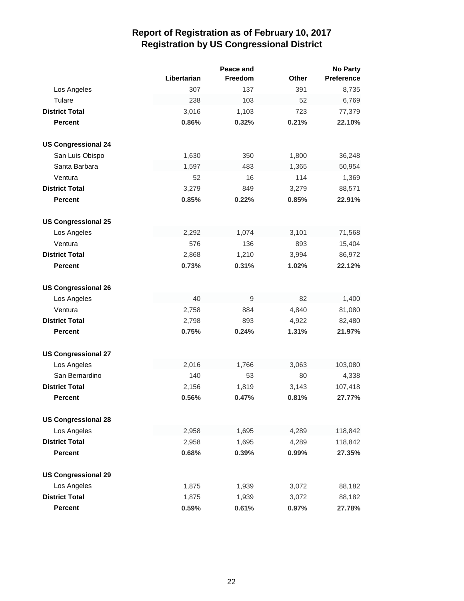|                            |             | Peace and |              | <b>No Party</b>   |
|----------------------------|-------------|-----------|--------------|-------------------|
|                            | Libertarian | Freedom   | <b>Other</b> | <b>Preference</b> |
| Los Angeles                | 307         | 137       | 391          | 8,735             |
| Tulare                     | 238         | 103       | 52           | 6,769             |
| <b>District Total</b>      | 3,016       | 1,103     | 723          | 77,379            |
| <b>Percent</b>             | 0.86%       | 0.32%     | 0.21%        | 22.10%            |
| <b>US Congressional 24</b> |             |           |              |                   |
| San Luis Obispo            | 1,630       | 350       | 1,800        | 36,248            |
| Santa Barbara              | 1,597       | 483       | 1,365        | 50,954            |
| Ventura                    | 52          | 16        | 114          | 1,369             |
| <b>District Total</b>      | 3,279       | 849       | 3,279        | 88,571            |
| <b>Percent</b>             | 0.85%       | 0.22%     | 0.85%        | 22.91%            |
| <b>US Congressional 25</b> |             |           |              |                   |
| Los Angeles                | 2,292       | 1,074     | 3,101        | 71,568            |
| Ventura                    | 576         | 136       | 893          | 15,404            |
| <b>District Total</b>      | 2,868       | 1,210     | 3,994        | 86,972            |
| <b>Percent</b>             | 0.73%       | 0.31%     | 1.02%        | 22.12%            |
| <b>US Congressional 26</b> |             |           |              |                   |
| Los Angeles                | 40          | 9         | 82           | 1,400             |
| Ventura                    | 2,758       | 884       | 4,840        | 81,080            |
| <b>District Total</b>      | 2,798       | 893       | 4,922        | 82,480            |
| <b>Percent</b>             | 0.75%       | 0.24%     | 1.31%        | 21.97%            |
| <b>US Congressional 27</b> |             |           |              |                   |
| Los Angeles                | 2,016       | 1,766     | 3,063        | 103,080           |
| San Bernardino             | 140         | 53        | 80           | 4,338             |
| <b>District Total</b>      | 2,156       | 1,819     | 3,143        | 107,418           |
| <b>Percent</b>             | 0.56%       | 0.47%     | 0.81%        | 27.77%            |
| <b>US Congressional 28</b> |             |           |              |                   |
| Los Angeles                | 2,958       | 1,695     | 4,289        | 118,842           |
| <b>District Total</b>      | 2,958       | 1,695     | 4,289        | 118,842           |
| <b>Percent</b>             | 0.68%       | 0.39%     | 0.99%        | 27.35%            |
| <b>US Congressional 29</b> |             |           |              |                   |
| Los Angeles                | 1,875       | 1,939     | 3,072        | 88,182            |
| <b>District Total</b>      | 1,875       | 1,939     | 3,072        | 88,182            |
| <b>Percent</b>             | 0.59%       | 0.61%     | 0.97%        | 27.78%            |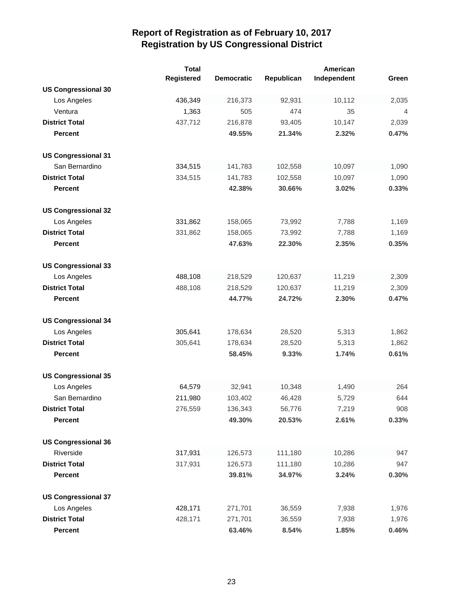|                            | <b>Total</b>      |                   |            | American    |       |
|----------------------------|-------------------|-------------------|------------|-------------|-------|
|                            | <b>Registered</b> | <b>Democratic</b> | Republican | Independent | Green |
| <b>US Congressional 30</b> |                   |                   |            |             |       |
| Los Angeles                | 436,349           | 216,373           | 92,931     | 10,112      | 2,035 |
| Ventura                    | 1,363             | 505               | 474        | 35          | 4     |
| <b>District Total</b>      | 437,712           | 216,878           | 93,405     | 10,147      | 2,039 |
| <b>Percent</b>             |                   | 49.55%            | 21.34%     | 2.32%       | 0.47% |
|                            |                   |                   |            |             |       |
| <b>US Congressional 31</b> |                   |                   |            |             |       |
| San Bernardino             | 334,515           | 141,783           | 102,558    | 10,097      | 1,090 |
| <b>District Total</b>      | 334,515           | 141,783           | 102,558    | 10,097      | 1,090 |
| <b>Percent</b>             |                   | 42.38%            | 30.66%     | 3.02%       | 0.33% |
|                            |                   |                   |            |             |       |
| <b>US Congressional 32</b> |                   |                   |            |             |       |
| Los Angeles                | 331,862           | 158,065           | 73,992     | 7,788       | 1,169 |
| <b>District Total</b>      | 331,862           | 158,065           | 73,992     | 7,788       | 1,169 |
| <b>Percent</b>             |                   | 47.63%            | 22.30%     | 2.35%       | 0.35% |
|                            |                   |                   |            |             |       |
| <b>US Congressional 33</b> |                   |                   |            |             |       |
| Los Angeles                | 488,108           | 218,529           | 120,637    | 11,219      | 2,309 |
| <b>District Total</b>      | 488,108           | 218,529           | 120,637    | 11,219      | 2,309 |
| <b>Percent</b>             |                   | 44.77%            | 24.72%     | 2.30%       | 0.47% |
|                            |                   |                   |            |             |       |
| <b>US Congressional 34</b> |                   |                   |            |             |       |
| Los Angeles                | 305,641           | 178,634           | 28,520     | 5,313       | 1,862 |
| <b>District Total</b>      | 305,641           | 178,634           | 28,520     | 5,313       | 1,862 |
| <b>Percent</b>             |                   | 58.45%            | 9.33%      | 1.74%       | 0.61% |
|                            |                   |                   |            |             |       |
| <b>US Congressional 35</b> |                   |                   |            |             |       |
| Los Angeles                | 64,579            | 32,941            | 10,348     | 1,490       | 264   |
| San Bernardino             | 211,980           | 103,402           | 46,428     | 5,729       | 644   |
| <b>District Total</b>      | 276,559           | 136,343           | 56,776     | 7,219       | 908   |
| <b>Percent</b>             |                   | 49.30%            | 20.53%     | 2.61%       | 0.33% |
| <b>US Congressional 36</b> |                   |                   |            |             |       |
| Riverside                  | 317,931           | 126,573           | 111,180    | 10,286      | 947   |
| <b>District Total</b>      | 317,931           | 126,573           | 111,180    | 10,286      | 947   |
| <b>Percent</b>             |                   | 39.81%            | 34.97%     | 3.24%       | 0.30% |
|                            |                   |                   |            |             |       |
| <b>US Congressional 37</b> |                   |                   |            |             |       |
| Los Angeles                | 428,171           | 271,701           | 36,559     | 7,938       | 1,976 |
| <b>District Total</b>      | 428,171           | 271,701           | 36,559     | 7,938       | 1,976 |
| <b>Percent</b>             |                   | 63.46%            | 8.54%      | 1.85%       | 0.46% |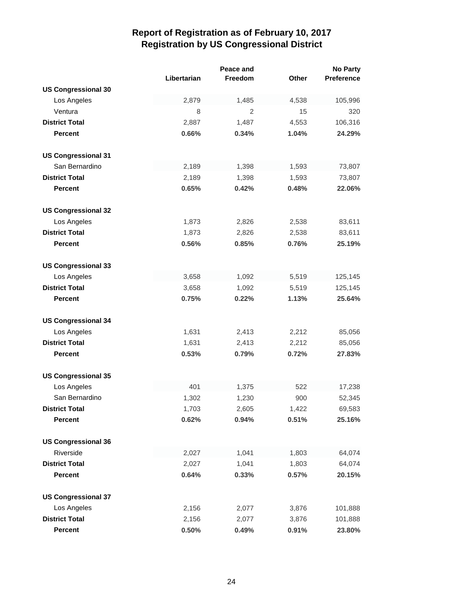|                            |             | Peace and      |       | <b>No Party</b>   |
|----------------------------|-------------|----------------|-------|-------------------|
|                            | Libertarian | Freedom        | Other | <b>Preference</b> |
| <b>US Congressional 30</b> |             |                |       |                   |
| Los Angeles                | 2,879       | 1,485          | 4,538 | 105,996           |
| Ventura                    | 8           | $\overline{2}$ | 15    | 320               |
| <b>District Total</b>      | 2,887       | 1,487          | 4,553 | 106,316           |
| <b>Percent</b>             | 0.66%       | 0.34%          | 1.04% | 24.29%            |
| <b>US Congressional 31</b> |             |                |       |                   |
| San Bernardino             | 2,189       | 1,398          | 1,593 | 73,807            |
| <b>District Total</b>      | 2,189       | 1,398          | 1,593 | 73,807            |
| <b>Percent</b>             | 0.65%       | 0.42%          | 0.48% | 22.06%            |
| <b>US Congressional 32</b> |             |                |       |                   |
| Los Angeles                | 1,873       | 2,826          | 2,538 | 83,611            |
| <b>District Total</b>      | 1,873       | 2,826          | 2,538 | 83,611            |
| <b>Percent</b>             | 0.56%       | 0.85%          | 0.76% | 25.19%            |
| <b>US Congressional 33</b> |             |                |       |                   |
| Los Angeles                | 3,658       | 1,092          | 5,519 | 125,145           |
| <b>District Total</b>      | 3,658       | 1,092          | 5,519 | 125,145           |
| <b>Percent</b>             | 0.75%       | 0.22%          | 1.13% | 25.64%            |
| <b>US Congressional 34</b> |             |                |       |                   |
| Los Angeles                | 1,631       | 2,413          | 2,212 | 85,056            |
| <b>District Total</b>      | 1,631       | 2,413          | 2,212 | 85,056            |
| <b>Percent</b>             | 0.53%       | 0.79%          | 0.72% | 27.83%            |
| <b>US Congressional 35</b> |             |                |       |                   |
| Los Angeles                | 401         | 1,375          | 522   | 17,238            |
| San Bernardino             | 1,302       | 1,230          | 900   | 52,345            |
| <b>District Total</b>      | 1,703       | 2,605          | 1,422 | 69,583            |
| <b>Percent</b>             | 0.62%       | 0.94%          | 0.51% | 25.16%            |
| <b>US Congressional 36</b> |             |                |       |                   |
| Riverside                  | 2,027       | 1,041          | 1,803 | 64,074            |
| <b>District Total</b>      | 2,027       | 1,041          | 1,803 | 64,074            |
| <b>Percent</b>             | 0.64%       | 0.33%          | 0.57% | 20.15%            |
| <b>US Congressional 37</b> |             |                |       |                   |
| Los Angeles                | 2,156       | 2,077          | 3,876 | 101,888           |
| <b>District Total</b>      | 2,156       | 2,077          | 3,876 | 101,888           |
| <b>Percent</b>             | 0.50%       | 0.49%          | 0.91% | 23.80%            |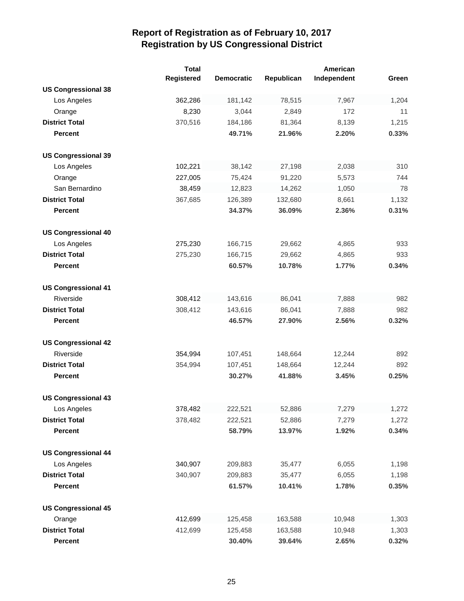|                            | <b>Total</b>      |                   |            | American    |       |
|----------------------------|-------------------|-------------------|------------|-------------|-------|
|                            | <b>Registered</b> | <b>Democratic</b> | Republican | Independent | Green |
| <b>US Congressional 38</b> |                   |                   |            |             |       |
| Los Angeles                | 362,286           | 181,142           | 78,515     | 7,967       | 1,204 |
| Orange                     | 8,230             | 3,044             | 2,849      | 172         | 11    |
| <b>District Total</b>      | 370,516           | 184,186           | 81,364     | 8,139       | 1,215 |
| <b>Percent</b>             |                   | 49.71%            | 21.96%     | 2.20%       | 0.33% |
|                            |                   |                   |            |             |       |
| <b>US Congressional 39</b> |                   |                   |            |             |       |
| Los Angeles                | 102,221           | 38,142            | 27,198     | 2,038       | 310   |
| Orange                     | 227,005           | 75,424            | 91,220     | 5,573       | 744   |
| San Bernardino             | 38,459            | 12,823            | 14,262     | 1,050       | 78    |
| <b>District Total</b>      | 367,685           | 126,389           | 132,680    | 8,661       | 1,132 |
| <b>Percent</b>             |                   | 34.37%            | 36.09%     | 2.36%       | 0.31% |
| <b>US Congressional 40</b> |                   |                   |            |             |       |
| Los Angeles                | 275,230           | 166,715           | 29,662     | 4,865       | 933   |
| <b>District Total</b>      | 275,230           | 166,715           | 29,662     | 4,865       | 933   |
| <b>Percent</b>             |                   | 60.57%            | 10.78%     | 1.77%       | 0.34% |
|                            |                   |                   |            |             |       |
| <b>US Congressional 41</b> |                   |                   |            |             |       |
| Riverside                  | 308,412           | 143,616           | 86,041     | 7,888       | 982   |
| <b>District Total</b>      | 308,412           | 143,616           | 86,041     | 7,888       | 982   |
| <b>Percent</b>             |                   | 46.57%            | 27.90%     | 2.56%       | 0.32% |
| <b>US Congressional 42</b> |                   |                   |            |             |       |
| Riverside                  | 354,994           | 107,451           | 148,664    | 12,244      | 892   |
| <b>District Total</b>      | 354,994           | 107,451           | 148,664    | 12,244      | 892   |
| <b>Percent</b>             |                   | 30.27%            | 41.88%     | 3.45%       | 0.25% |
|                            |                   |                   |            |             |       |
| <b>US Congressional 43</b> |                   |                   |            |             |       |
| Los Angeles                | 378,482           | 222,521           | 52,886     | 7,279       | 1,272 |
| <b>District Total</b>      | 378,482           | 222,521           | 52,886     | 7,279       | 1,272 |
| <b>Percent</b>             |                   | 58.79%            | 13.97%     | 1.92%       | 0.34% |
| <b>US Congressional 44</b> |                   |                   |            |             |       |
| Los Angeles                | 340,907           | 209,883           | 35,477     | 6,055       | 1,198 |
| <b>District Total</b>      | 340,907           | 209,883           | 35,477     | 6,055       | 1,198 |
| <b>Percent</b>             |                   | 61.57%            | 10.41%     | 1.78%       | 0.35% |
|                            |                   |                   |            |             |       |
| <b>US Congressional 45</b> |                   |                   |            |             |       |
| Orange                     | 412,699           | 125,458           | 163,588    | 10,948      | 1,303 |
| <b>District Total</b>      | 412,699           | 125,458           | 163,588    | 10,948      | 1,303 |
| <b>Percent</b>             |                   | 30.40%            | 39.64%     | 2.65%       | 0.32% |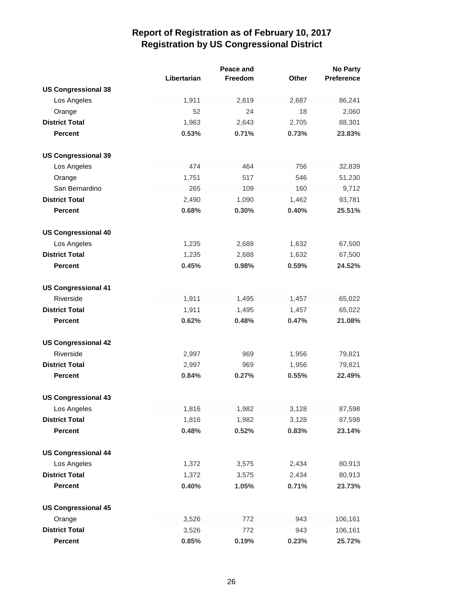|                            |             | Peace and |              | <b>No Party</b>   |
|----------------------------|-------------|-----------|--------------|-------------------|
|                            | Libertarian | Freedom   | <b>Other</b> | <b>Preference</b> |
| <b>US Congressional 38</b> |             |           |              |                   |
| Los Angeles                | 1,911       | 2,619     | 2,687        | 86,241            |
| Orange                     | 52          | 24        | 18           | 2,060             |
| <b>District Total</b>      | 1,963       | 2,643     | 2,705        | 88,301            |
| <b>Percent</b>             | 0.53%       | 0.71%     | 0.73%        | 23.83%            |
| <b>US Congressional 39</b> |             |           |              |                   |
| Los Angeles                | 474         | 464       | 756          | 32,839            |
| Orange                     | 1,751       | 517       | 546          | 51,230            |
| San Bernardino             | 265         | 109       | 160          | 9,712             |
| <b>District Total</b>      | 2,490       | 1,090     | 1,462        | 93,781            |
| Percent                    | 0.68%       | 0.30%     | 0.40%        | 25.51%            |
| <b>US Congressional 40</b> |             |           |              |                   |
| Los Angeles                | 1,235       | 2,688     | 1,632        | 67,500            |
| <b>District Total</b>      | 1,235       | 2,688     | 1,632        | 67,500            |
| <b>Percent</b>             | 0.45%       | 0.98%     | 0.59%        | 24.52%            |
| <b>US Congressional 41</b> |             |           |              |                   |
| Riverside                  | 1,911       | 1,495     | 1,457        | 65,022            |
| <b>District Total</b>      | 1,911       | 1,495     | 1,457        | 65,022            |
| <b>Percent</b>             | 0.62%       | 0.48%     | 0.47%        | 21.08%            |
| <b>US Congressional 42</b> |             |           |              |                   |
| Riverside                  | 2,997       | 969       | 1,956        | 79,821            |
| <b>District Total</b>      | 2,997       | 969       | 1,956        | 79,821            |
| <b>Percent</b>             | 0.84%       | 0.27%     | 0.55%        | 22.49%            |
| <b>US Congressional 43</b> |             |           |              |                   |
| Los Angeles                | 1,816       | 1,982     | 3,128        | 87,598            |
| <b>District Total</b>      | 1,816       | 1,982     | 3,128        | 87,598            |
| <b>Percent</b>             | 0.48%       | 0.52%     | 0.83%        | 23.14%            |
| <b>US Congressional 44</b> |             |           |              |                   |
| Los Angeles                | 1,372       | 3,575     | 2,434        | 80,913            |
| <b>District Total</b>      | 1,372       | 3,575     | 2,434        | 80,913            |
| <b>Percent</b>             | 0.40%       | 1.05%     | 0.71%        | 23.73%            |
| <b>US Congressional 45</b> |             |           |              |                   |
| Orange                     | 3,526       | 772       | 943          | 106,161           |
| <b>District Total</b>      | 3,526       | 772       | 943          | 106,161           |
| <b>Percent</b>             | 0.85%       | 0.19%     | 0.23%        | 25.72%            |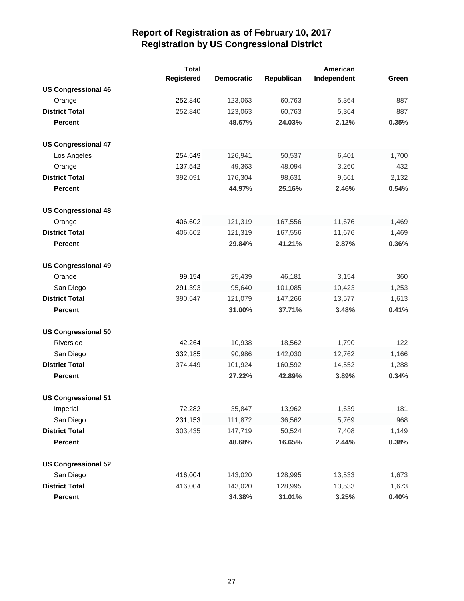|                            | <b>Total</b> |                   |            | American    |       |
|----------------------------|--------------|-------------------|------------|-------------|-------|
|                            | Registered   | <b>Democratic</b> | Republican | Independent | Green |
| <b>US Congressional 46</b> |              |                   |            |             |       |
| Orange                     | 252,840      | 123,063           | 60,763     | 5,364       | 887   |
| <b>District Total</b>      | 252,840      | 123,063           | 60,763     | 5,364       | 887   |
| <b>Percent</b>             |              | 48.67%            | 24.03%     | 2.12%       | 0.35% |
| <b>US Congressional 47</b> |              |                   |            |             |       |
| Los Angeles                | 254,549      | 126,941           | 50,537     | 6,401       | 1,700 |
| Orange                     | 137,542      | 49,363            | 48,094     | 3,260       | 432   |
| <b>District Total</b>      | 392,091      | 176,304           | 98,631     | 9,661       | 2,132 |
| <b>Percent</b>             |              | 44.97%            | 25.16%     | 2.46%       | 0.54% |
| <b>US Congressional 48</b> |              |                   |            |             |       |
| Orange                     | 406,602      | 121,319           | 167,556    | 11,676      | 1,469 |
| <b>District Total</b>      | 406,602      | 121,319           | 167,556    | 11,676      | 1,469 |
| <b>Percent</b>             |              | 29.84%            | 41.21%     | 2.87%       | 0.36% |
| <b>US Congressional 49</b> |              |                   |            |             |       |
| Orange                     | 99,154       | 25,439            | 46,181     | 3,154       | 360   |
| San Diego                  | 291,393      | 95,640            | 101,085    | 10,423      | 1,253 |
| <b>District Total</b>      | 390,547      | 121,079           | 147,266    | 13,577      | 1,613 |
| <b>Percent</b>             |              | 31.00%            | 37.71%     | 3.48%       | 0.41% |
| <b>US Congressional 50</b> |              |                   |            |             |       |
| Riverside                  | 42,264       | 10,938            | 18,562     | 1,790       | 122   |
| San Diego                  | 332,185      | 90,986            | 142,030    | 12,762      | 1,166 |
| <b>District Total</b>      | 374,449      | 101,924           | 160,592    | 14,552      | 1,288 |
| <b>Percent</b>             |              | 27.22%            | 42.89%     | 3.89%       | 0.34% |
| <b>US Congressional 51</b> |              |                   |            |             |       |
| Imperial                   | 72,282       | 35,847            | 13,962     | 1,639       | 181   |
| San Diego                  | 231,153      | 111,872           | 36,562     | 5,769       | 968   |
| <b>District Total</b>      | 303,435      | 147,719           | 50,524     | 7,408       | 1,149 |
| <b>Percent</b>             |              | 48.68%            | 16.65%     | 2.44%       | 0.38% |
| <b>US Congressional 52</b> |              |                   |            |             |       |
| San Diego                  | 416,004      | 143,020           | 128,995    | 13,533      | 1,673 |
| <b>District Total</b>      | 416,004      | 143,020           | 128,995    | 13,533      | 1,673 |
| <b>Percent</b>             |              | 34.38%            | 31.01%     | 3.25%       | 0.40% |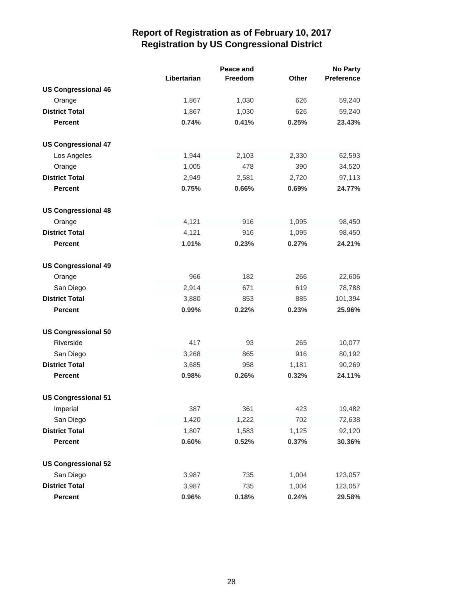|                            |             | Peace and |              | <b>No Party</b> |
|----------------------------|-------------|-----------|--------------|-----------------|
|                            | Libertarian | Freedom   | <b>Other</b> | Preference      |
| <b>US Congressional 46</b> |             |           |              |                 |
| Orange                     | 1,867       | 1,030     | 626          | 59,240          |
| <b>District Total</b>      | 1,867       | 1,030     | 626          | 59,240          |
| <b>Percent</b>             | 0.74%       | 0.41%     | 0.25%        | 23.43%          |
| <b>US Congressional 47</b> |             |           |              |                 |
| Los Angeles                | 1,944       | 2,103     | 2,330        | 62,593          |
| Orange                     | 1,005       | 478       | 390          | 34,520          |
| <b>District Total</b>      | 2,949       | 2,581     | 2,720        | 97,113          |
| <b>Percent</b>             | 0.75%       | 0.66%     | 0.69%        | 24.77%          |
| <b>US Congressional 48</b> |             |           |              |                 |
| Orange                     | 4,121       | 916       | 1,095        | 98,450          |
| <b>District Total</b>      | 4,121       | 916       | 1,095        | 98,450          |
| <b>Percent</b>             | 1.01%       | 0.23%     | 0.27%        | 24.21%          |
| <b>US Congressional 49</b> |             |           |              |                 |
| Orange                     | 966         | 182       | 266          | 22,606          |
| San Diego                  | 2,914       | 671       | 619          | 78,788          |
| <b>District Total</b>      | 3,880       | 853       | 885          | 101,394         |
| <b>Percent</b>             | 0.99%       | 0.22%     | 0.23%        | 25.96%          |
| <b>US Congressional 50</b> |             |           |              |                 |
| Riverside                  | 417         | 93        | 265          | 10,077          |
| San Diego                  | 3,268       | 865       | 916          | 80,192          |
| <b>District Total</b>      | 3,685       | 958       | 1,181        | 90,269          |
| <b>Percent</b>             | 0.98%       | 0.26%     | 0.32%        | 24.11%          |
| <b>US Congressional 51</b> |             |           |              |                 |
| Imperial                   | 387         | 361       | 423          | 19,482          |
| San Diego                  | 1,420       | 1,222     | 702          | 72,638          |
| <b>District Total</b>      | 1,807       | 1,583     | 1,125        | 92,120          |
| <b>Percent</b>             | 0.60%       | 0.52%     | 0.37%        | 30.36%          |
| <b>US Congressional 52</b> |             |           |              |                 |
| San Diego                  | 3,987       | 735       | 1,004        | 123,057         |
| <b>District Total</b>      | 3,987       | 735       | 1,004        | 123,057         |
| Percent                    | 0.96%       | 0.18%     | 0.24%        | 29.58%          |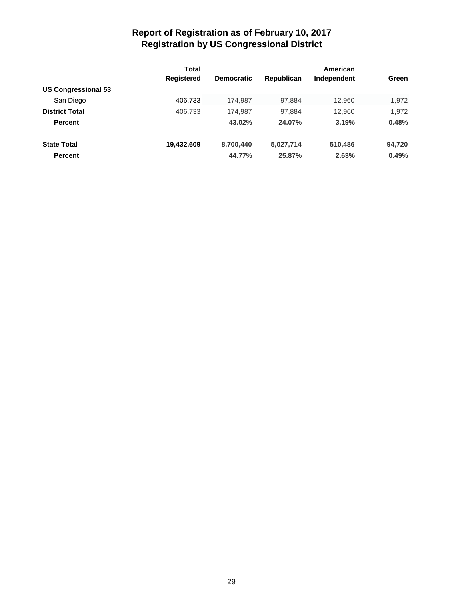|                                         | Total             |                   | American   |             |        |
|-----------------------------------------|-------------------|-------------------|------------|-------------|--------|
|                                         | <b>Registered</b> | <b>Democratic</b> | Republican | Independent | Green  |
| <b>US Congressional 53</b><br>San Diego | 406,733           | 174.987           | 97.884     | 12.960      | 1,972  |
|                                         |                   |                   |            |             |        |
| <b>Percent</b>                          |                   | 43.02%            | 24.07%     | 3.19%       | 0.48%  |
| <b>State Total</b>                      | 19,432,609        | 8,700,440         | 5,027,714  | 510,486     | 94,720 |
| <b>Percent</b>                          |                   | 44.77%            | 25.87%     | 2.63%       | 0.49%  |